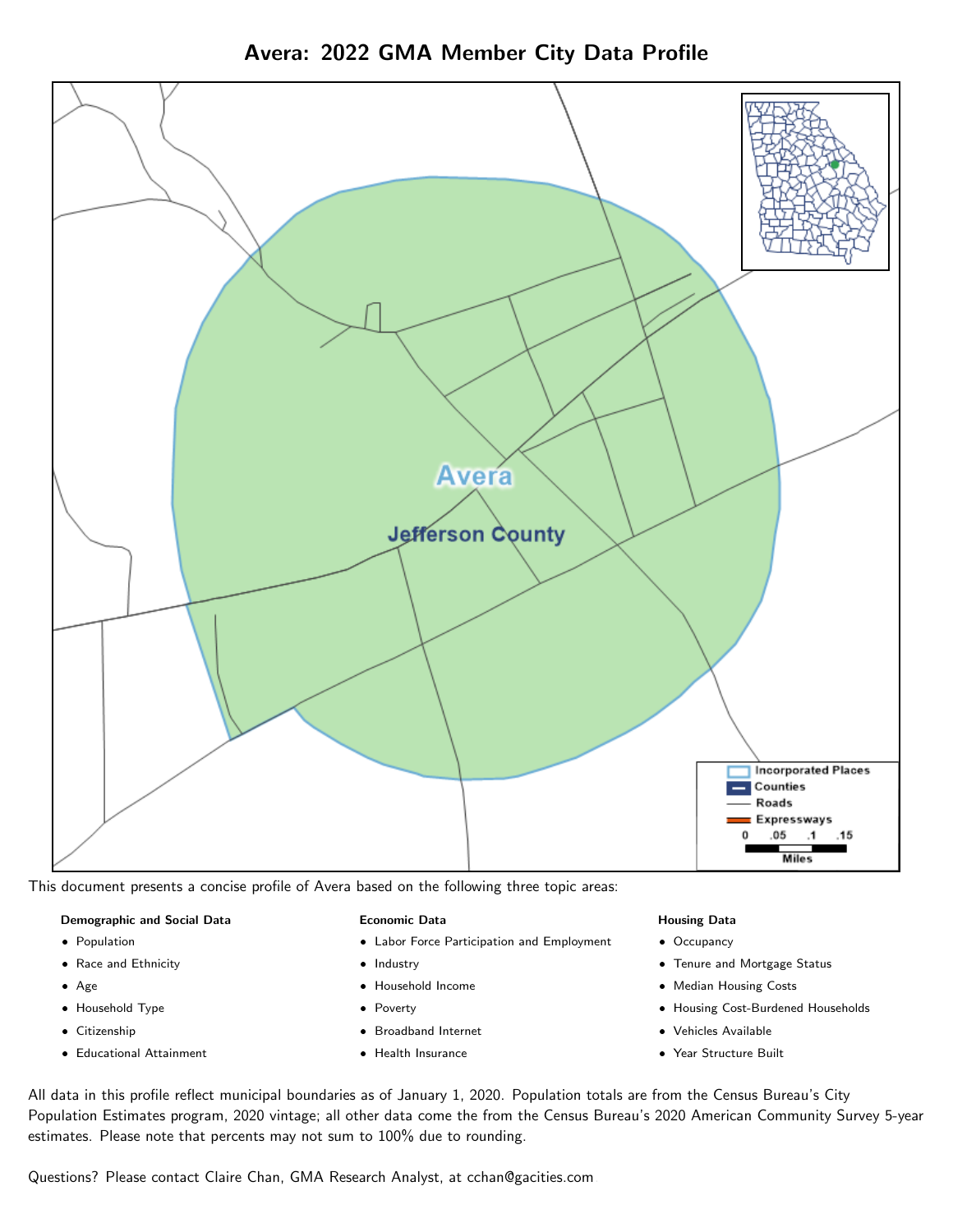

Avera: 2022 GMA Member City Data Profile

This document presents a concise profile of Avera based on the following three topic areas:

### Demographic and Social Data

- **•** Population
- Race and Ethnicity
- Age
- Household Type
- **Citizenship**
- Educational Attainment

#### Economic Data

- Labor Force Participation and Employment
- Industry
- Household Income
- Poverty
- Broadband Internet
- Health Insurance

#### Housing Data

- Occupancy
- Tenure and Mortgage Status
- Median Housing Costs
- Housing Cost-Burdened Households
- Vehicles Available
- Year Structure Built

All data in this profile reflect municipal boundaries as of January 1, 2020. Population totals are from the Census Bureau's City Population Estimates program, 2020 vintage; all other data come the from the Census Bureau's 2020 American Community Survey 5-year estimates. Please note that percents may not sum to 100% due to rounding.

Questions? Please contact Claire Chan, GMA Research Analyst, at [cchan@gacities.com.](mailto:cchan@gacities.com)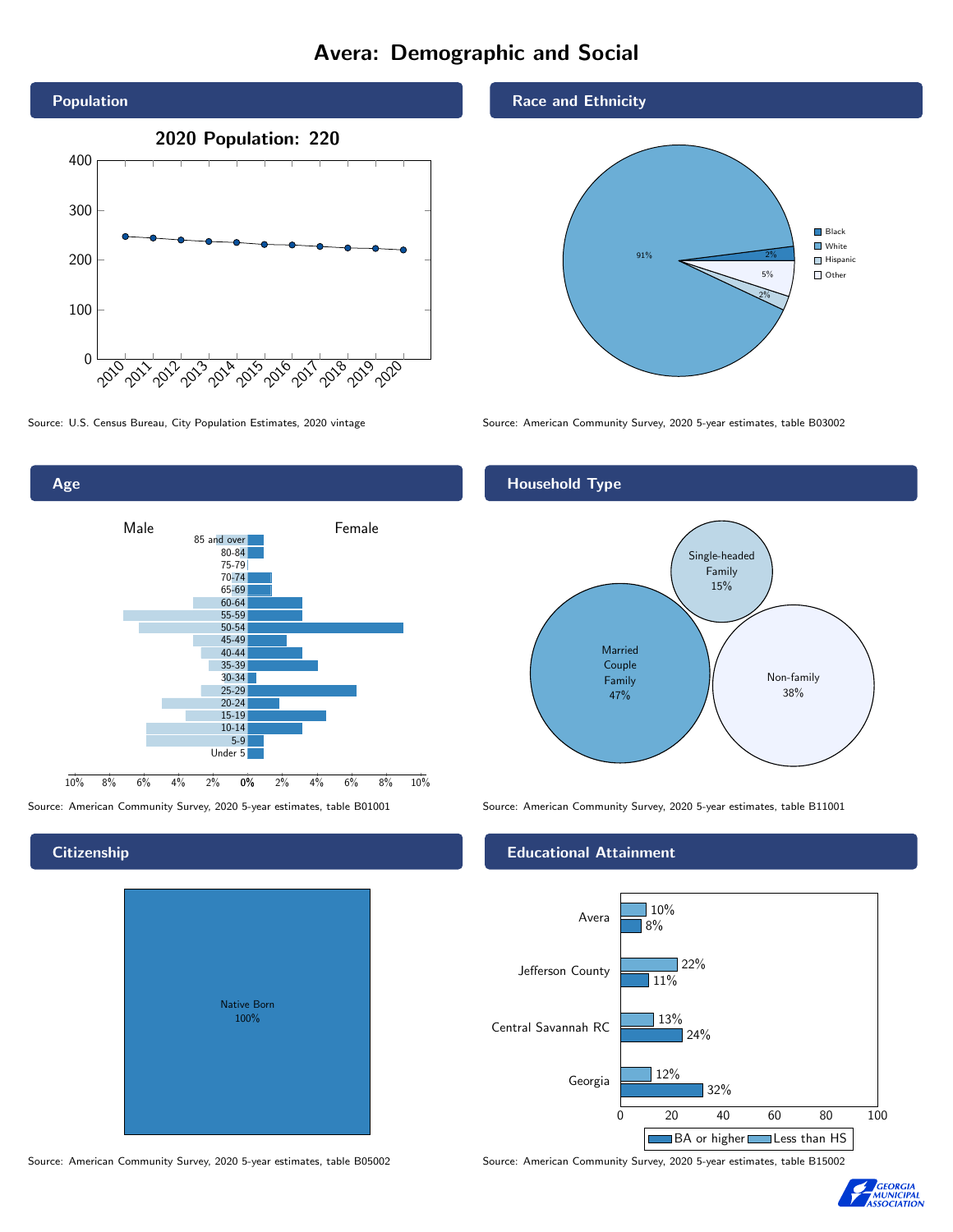# Avera: Demographic and Social





#### **Citizenship**

| <b>Native Born</b><br>100% |  |
|----------------------------|--|

Race and Ethnicity



Source: U.S. Census Bureau, City Population Estimates, 2020 vintage Source: American Community Survey, 2020 5-year estimates, table B03002

#### Household Type



Source: American Community Survey, 2020 5-year estimates, table B01001 Source: American Community Survey, 2020 5-year estimates, table B11001

#### Educational Attainment



Source: American Community Survey, 2020 5-year estimates, table B05002 Source: American Community Survey, 2020 5-year estimates, table B15002

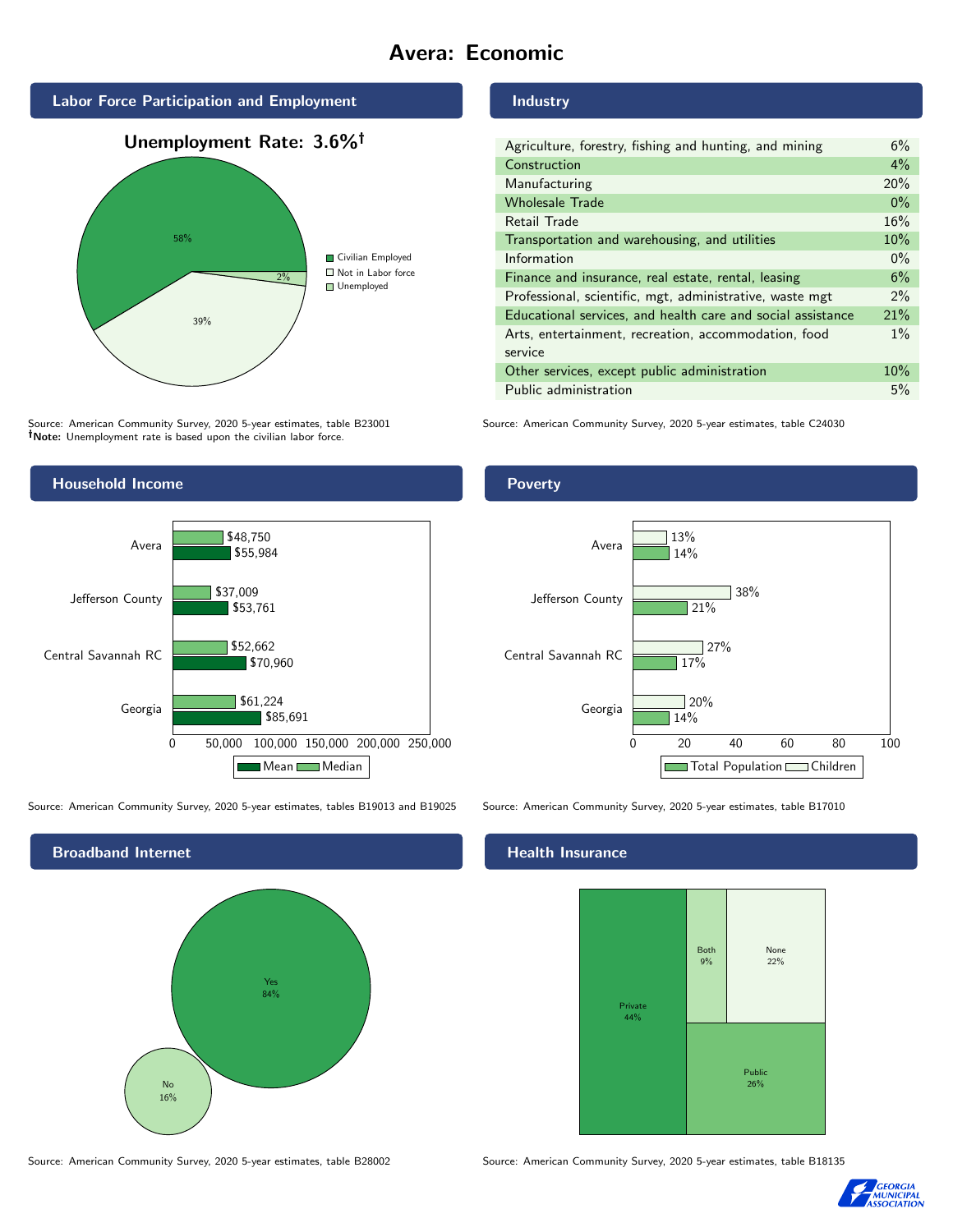# Avera: Economic







Source: American Community Survey, 2020 5-year estimates, table B23001 Note: Unemployment rate is based upon the civilian labor force.



Source: American Community Survey, 2020 5-year estimates, tables B19013 and B19025 Source: American Community Survey, 2020 5-year estimates, table B17010



Source: American Community Survey, 2020 5-year estimates, table B28002 Source: American Community Survey, 2020 5-year estimates, table B18135

#### Industry

| Agriculture, forestry, fishing and hunting, and mining      | 6%    |
|-------------------------------------------------------------|-------|
| Construction                                                | $4\%$ |
| Manufacturing                                               | 20%   |
| <b>Wholesale Trade</b>                                      | $0\%$ |
| Retail Trade                                                | 16%   |
| Transportation and warehousing, and utilities               |       |
| Information                                                 |       |
| Finance and insurance, real estate, rental, leasing         |       |
| Professional, scientific, mgt, administrative, waste mgt    |       |
| Educational services, and health care and social assistance | 21%   |
| Arts, entertainment, recreation, accommodation, food        |       |
| service                                                     |       |
| Other services, except public administration                |       |
| Public administration                                       |       |

Source: American Community Survey, 2020 5-year estimates, table C24030

### Poverty



#### Health Insurance